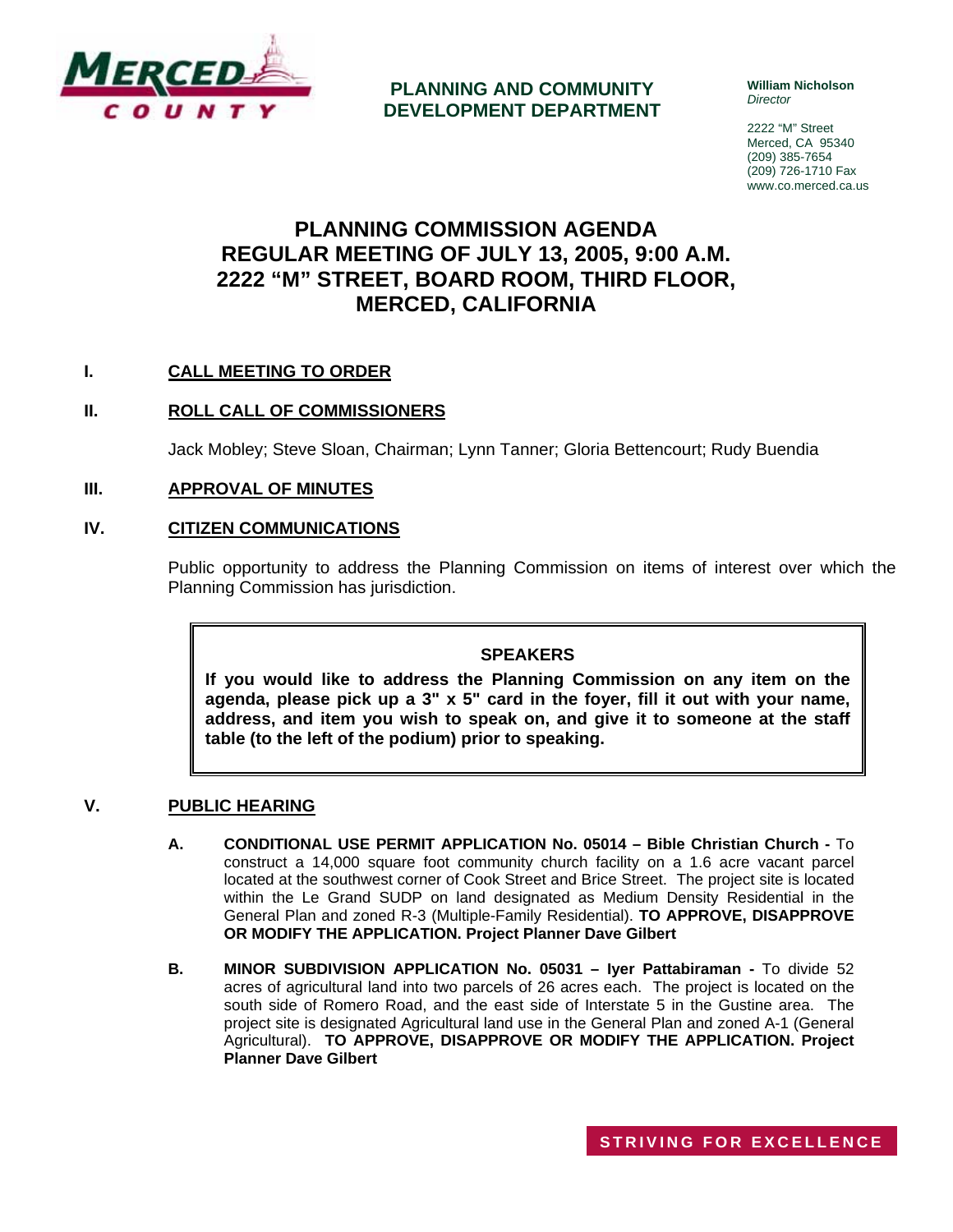

**PLANNING AND COMMUNITY DEVELOPMENT DEPARTMENT** **William Nicholson**  *Director* 

2222 "M" Street Merced, CA 95340 (209) 385-7654 (209) 726-1710 Fax www.co.merced.ca.us

# **PLANNING COMMISSION AGENDA REGULAR MEETING OF JULY 13, 2005, 9:00 A.M. 2222 "M" STREET, BOARD ROOM, THIRD FLOOR, MERCED, CALIFORNIA**

# **I. CALL MEETING TO ORDER**

# **II. ROLL CALL OF COMMISSIONERS**

Jack Mobley; Steve Sloan, Chairman; Lynn Tanner; Gloria Bettencourt; Rudy Buendia

#### **III. APPROVAL OF MINUTES**

#### **IV. CITIZEN COMMUNICATIONS**

Public opportunity to address the Planning Commission on items of interest over which the Planning Commission has jurisdiction.

## **SPEAKERS**

**If you would like to address the Planning Commission on any item on the agenda, please pick up a 3" x 5" card in the foyer, fill it out with your name, address, and item you wish to speak on, and give it to someone at the staff table (to the left of the podium) prior to speaking.**

#### **V. PUBLIC HEARING**

- **A. CONDITIONAL USE PERMIT APPLICATION No. 05014 Bible Christian Church** To construct a 14,000 square foot community church facility on a 1.6 acre vacant parcel located at the southwest corner of Cook Street and Brice Street. The project site is located within the Le Grand SUDP on land designated as Medium Density Residential in the General Plan and zoned R-3 (Multiple-Family Residential). **TO APPROVE, DISAPPROVE OR MODIFY THE APPLICATION. Project Planner Dave Gilbert**
- **B. MINOR SUBDIVISION APPLICATION No. 05031 Iyer Pattabiraman** To divide 52 acres of agricultural land into two parcels of 26 acres each. The project is located on the south side of Romero Road, and the east side of Interstate 5 in the Gustine area. The project site is designated Agricultural land use in the General Plan and zoned A-1 (General Agricultural). **TO APPROVE, DISAPPROVE OR MODIFY THE APPLICATION. Project Planner Dave Gilbert**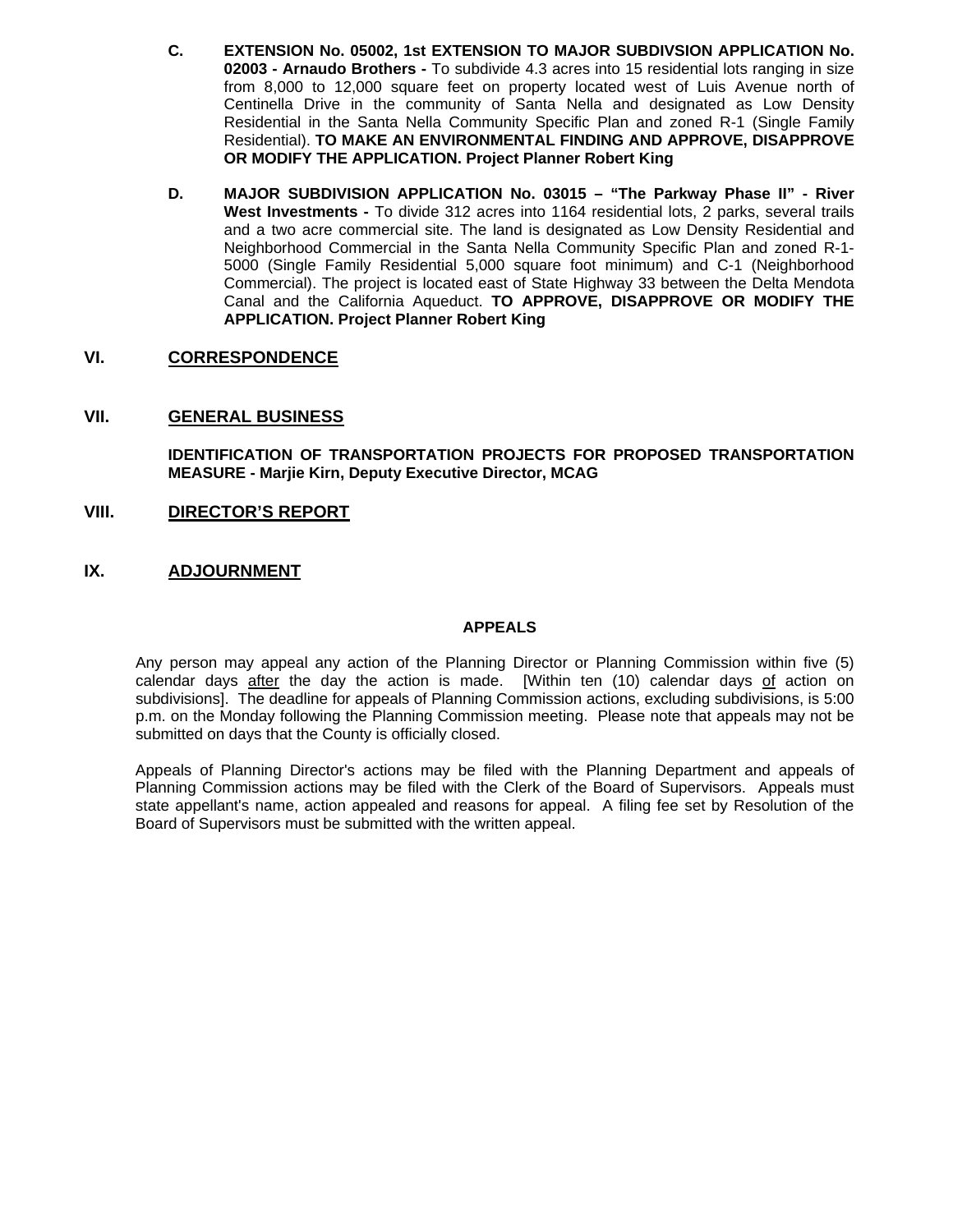- **C. EXTENSION No. 05002, 1st EXTENSION TO MAJOR SUBDIVSION APPLICATION No. 02003 - Arnaudo Brothers -** To subdivide 4.3 acres into 15 residential lots ranging in size from 8,000 to 12,000 square feet on property located west of Luis Avenue north of Centinella Drive in the community of Santa Nella and designated as Low Density Residential in the Santa Nella Community Specific Plan and zoned R-1 (Single Family Residential). **TO MAKE AN ENVIRONMENTAL FINDING AND APPROVE, DISAPPROVE OR MODIFY THE APPLICATION. Project Planner Robert King**
- **D. MAJOR SUBDIVISION APPLICATION No. 03015 "The Parkway Phase II" River West Investments -** To divide 312 acres into 1164 residential lots, 2 parks, several trails and a two acre commercial site. The land is designated as Low Density Residential and Neighborhood Commercial in the Santa Nella Community Specific Plan and zoned R-1- 5000 (Single Family Residential 5,000 square foot minimum) and C-1 (Neighborhood Commercial). The project is located east of State Highway 33 between the Delta Mendota Canal and the California Aqueduct. **TO APPROVE, DISAPPROVE OR MODIFY THE APPLICATION. Project Planner Robert King**

## **VI. CORRESPONDENCE**

## **VII. GENERAL BUSINESS**

**IDENTIFICATION OF TRANSPORTATION PROJECTS FOR PROPOSED TRANSPORTATION MEASURE - Marjie Kirn, Deputy Executive Director, MCAG**

#### **VIII. DIRECTOR'S REPORT**

## **IX. ADJOURNMENT**

#### **APPEALS**

Any person may appeal any action of the Planning Director or Planning Commission within five (5) calendar days after the day the action is made. [Within ten (10) calendar days of action on subdivisions]. The deadline for appeals of Planning Commission actions, excluding subdivisions, is 5:00 p.m. on the Monday following the Planning Commission meeting. Please note that appeals may not be submitted on days that the County is officially closed.

Appeals of Planning Director's actions may be filed with the Planning Department and appeals of Planning Commission actions may be filed with the Clerk of the Board of Supervisors. Appeals must state appellant's name, action appealed and reasons for appeal. A filing fee set by Resolution of the Board of Supervisors must be submitted with the written appeal.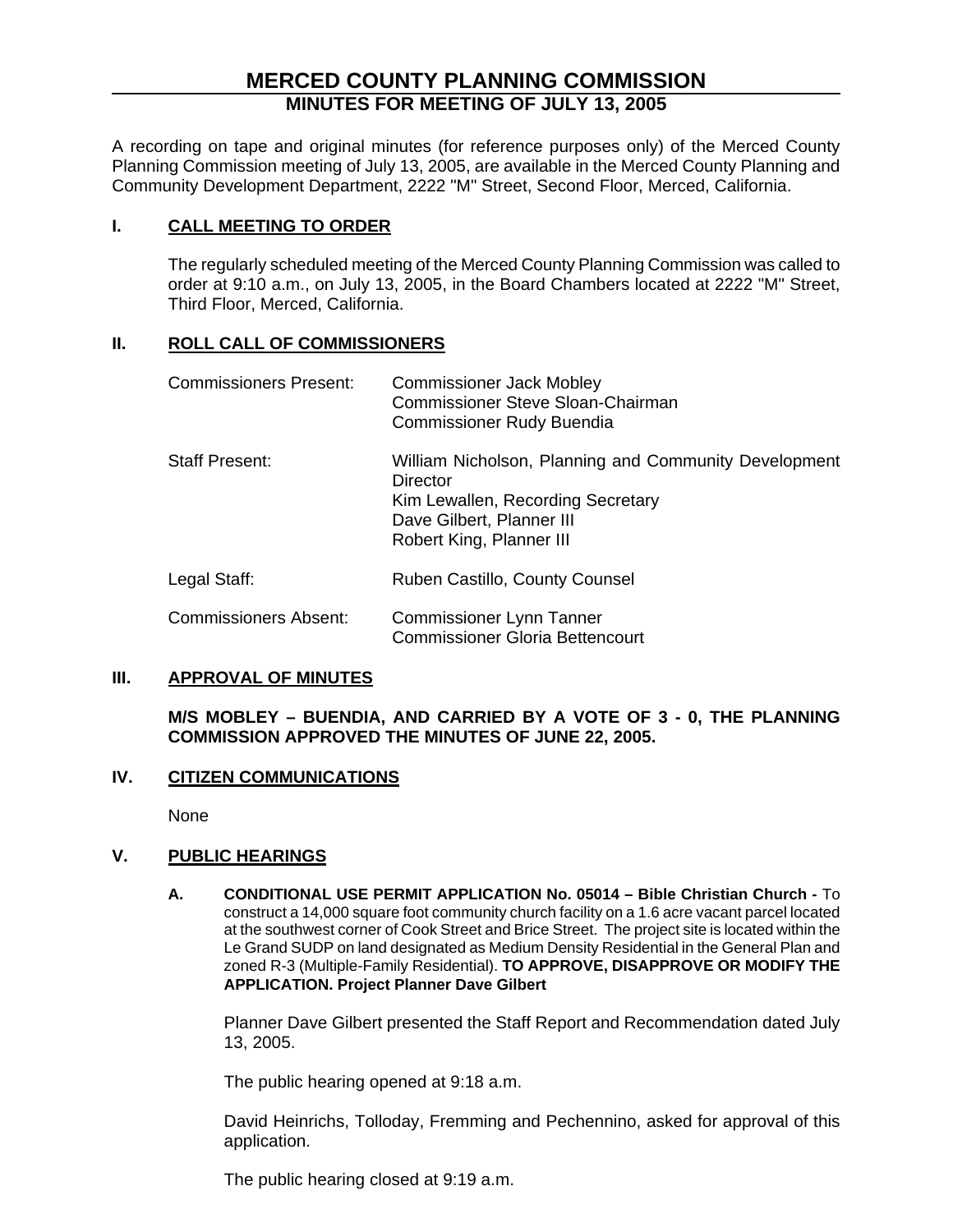# **MERCED COUNTY PLANNING COMMISSION MINUTES FOR MEETING OF JULY 13, 2005**

A recording on tape and original minutes (for reference purposes only) of the Merced County Planning Commission meeting of July 13, 2005, are available in the Merced County Planning and Community Development Department, 2222 "M" Street, Second Floor, Merced, California.

# **I. CALL MEETING TO ORDER**

The regularly scheduled meeting of the Merced County Planning Commission was called to order at 9:10 a.m., on July 13, 2005, in the Board Chambers located at 2222 "M" Street, Third Floor, Merced, California.

# **II. ROLL CALL OF COMMISSIONERS**

| <b>Commissioners Present:</b> | <b>Commissioner Jack Mobley</b><br>Commissioner Steve Sloan-Chairman<br><b>Commissioner Rudy Buendia</b>                                                        |
|-------------------------------|-----------------------------------------------------------------------------------------------------------------------------------------------------------------|
| <b>Staff Present:</b>         | William Nicholson, Planning and Community Development<br>Director<br>Kim Lewallen, Recording Secretary<br>Dave Gilbert, Planner III<br>Robert King, Planner III |
| Legal Staff:                  | Ruben Castillo, County Counsel                                                                                                                                  |
| <b>Commissioners Absent:</b>  | <b>Commissioner Lynn Tanner</b><br><b>Commissioner Gloria Bettencourt</b>                                                                                       |

## **III. APPROVAL OF MINUTES**

**M/S MOBLEY – BUENDIA, AND CARRIED BY A VOTE OF 3 - 0, THE PLANNING COMMISSION APPROVED THE MINUTES OF JUNE 22, 2005.**

# **IV. CITIZEN COMMUNICATIONS**

None

# **V. PUBLIC HEARINGS**

**A. CONDITIONAL USE PERMIT APPLICATION No. 05014 – Bible Christian Church -** To construct a 14,000 square foot community church facility on a 1.6 acre vacant parcel located at the southwest corner of Cook Street and Brice Street. The project site is located within the Le Grand SUDP on land designated as Medium Density Residential in the General Plan and zoned R-3 (Multiple-Family Residential). **TO APPROVE, DISAPPROVE OR MODIFY THE APPLICATION. Project Planner Dave Gilbert** 

Planner Dave Gilbert presented the Staff Report and Recommendation dated July 13, 2005.

The public hearing opened at 9:18 a.m.

David Heinrichs, Tolloday, Fremming and Pechennino, asked for approval of this application.

The public hearing closed at 9:19 a.m.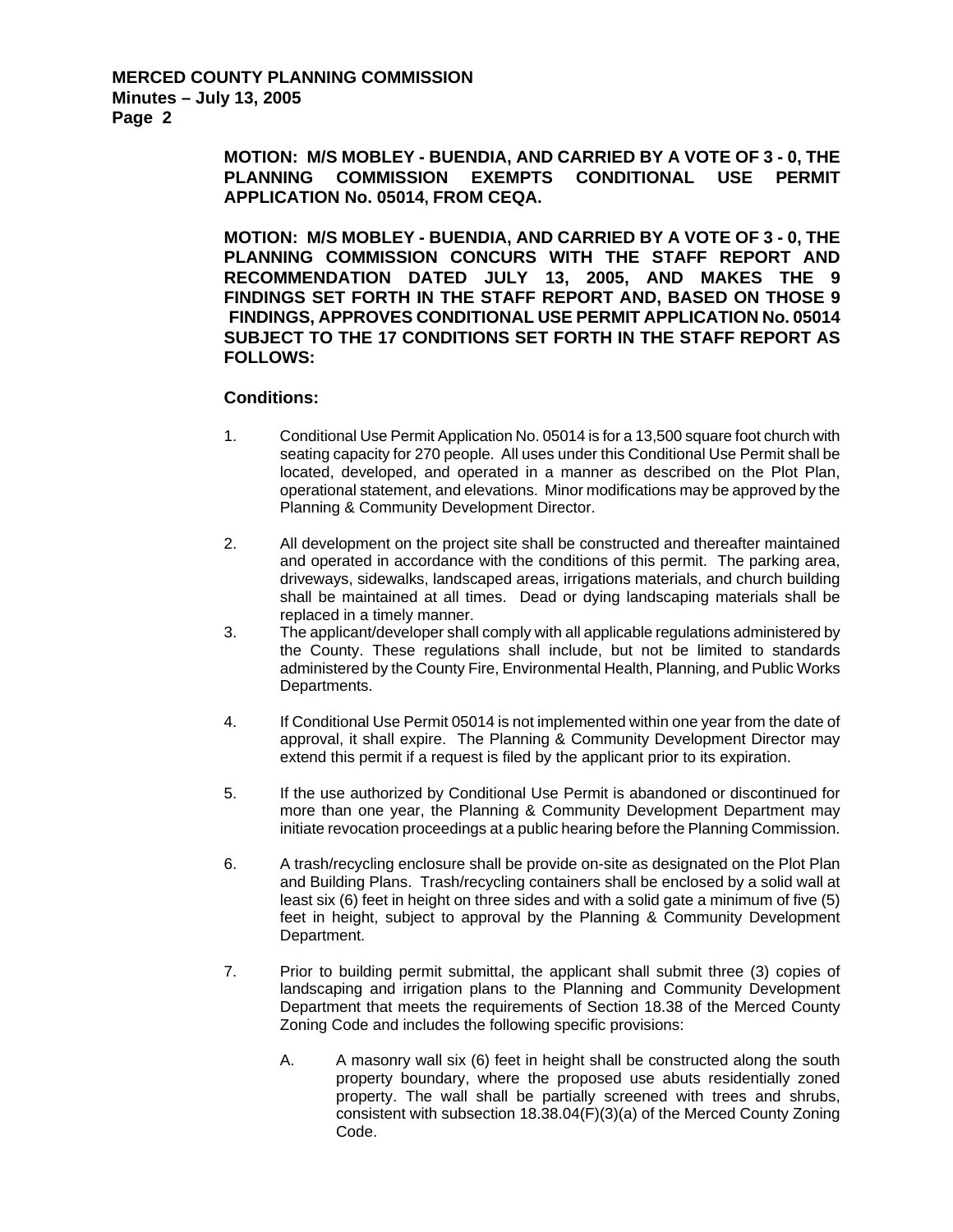**MOTION: M/S MOBLEY - BUENDIA, AND CARRIED BY A VOTE OF 3 - 0, THE PLANNING COMMISSION EXEMPTS CONDITIONAL USE PERMIT APPLICATION No. 05014, FROM CEQA.** 

**MOTION: M/S MOBLEY - BUENDIA, AND CARRIED BY A VOTE OF 3 - 0, THE PLANNING COMMISSION CONCURS WITH THE STAFF REPORT AND RECOMMENDATION DATED JULY 13, 2005, AND MAKES THE 9 FINDINGS SET FORTH IN THE STAFF REPORT AND, BASED ON THOSE 9 FINDINGS, APPROVES CONDITIONAL USE PERMIT APPLICATION No. 05014 SUBJECT TO THE 17 CONDITIONS SET FORTH IN THE STAFF REPORT AS FOLLOWS:** 

#### **Conditions:**

- 1. Conditional Use Permit Application No. 05014 is for a 13,500 square foot church with seating capacity for 270 people. All uses under this Conditional Use Permit shall be located, developed, and operated in a manner as described on the Plot Plan, operational statement, and elevations. Minor modifications may be approved by the Planning & Community Development Director.
- 2. All development on the project site shall be constructed and thereafter maintained and operated in accordance with the conditions of this permit. The parking area, driveways, sidewalks, landscaped areas, irrigations materials, and church building shall be maintained at all times. Dead or dying landscaping materials shall be replaced in a timely manner.
- 3. The applicant/developer shall comply with all applicable regulations administered by the County. These regulations shall include, but not be limited to standards administered by the County Fire, Environmental Health, Planning, and Public Works Departments.
- 4. If Conditional Use Permit 05014 is not implemented within one year from the date of approval, it shall expire. The Planning & Community Development Director may extend this permit if a request is filed by the applicant prior to its expiration.
- 5. If the use authorized by Conditional Use Permit is abandoned or discontinued for more than one year, the Planning & Community Development Department may initiate revocation proceedings at a public hearing before the Planning Commission.
- 6. A trash/recycling enclosure shall be provide on-site as designated on the Plot Plan and Building Plans. Trash/recycling containers shall be enclosed by a solid wall at least six (6) feet in height on three sides and with a solid gate a minimum of five (5) feet in height, subject to approval by the Planning & Community Development Department.
- 7. Prior to building permit submittal, the applicant shall submit three (3) copies of landscaping and irrigation plans to the Planning and Community Development Department that meets the requirements of Section 18.38 of the Merced County Zoning Code and includes the following specific provisions:
	- A. A masonry wall six (6) feet in height shall be constructed along the south property boundary, where the proposed use abuts residentially zoned property. The wall shall be partially screened with trees and shrubs, consistent with subsection 18.38.04(F)(3)(a) of the Merced County Zoning Code.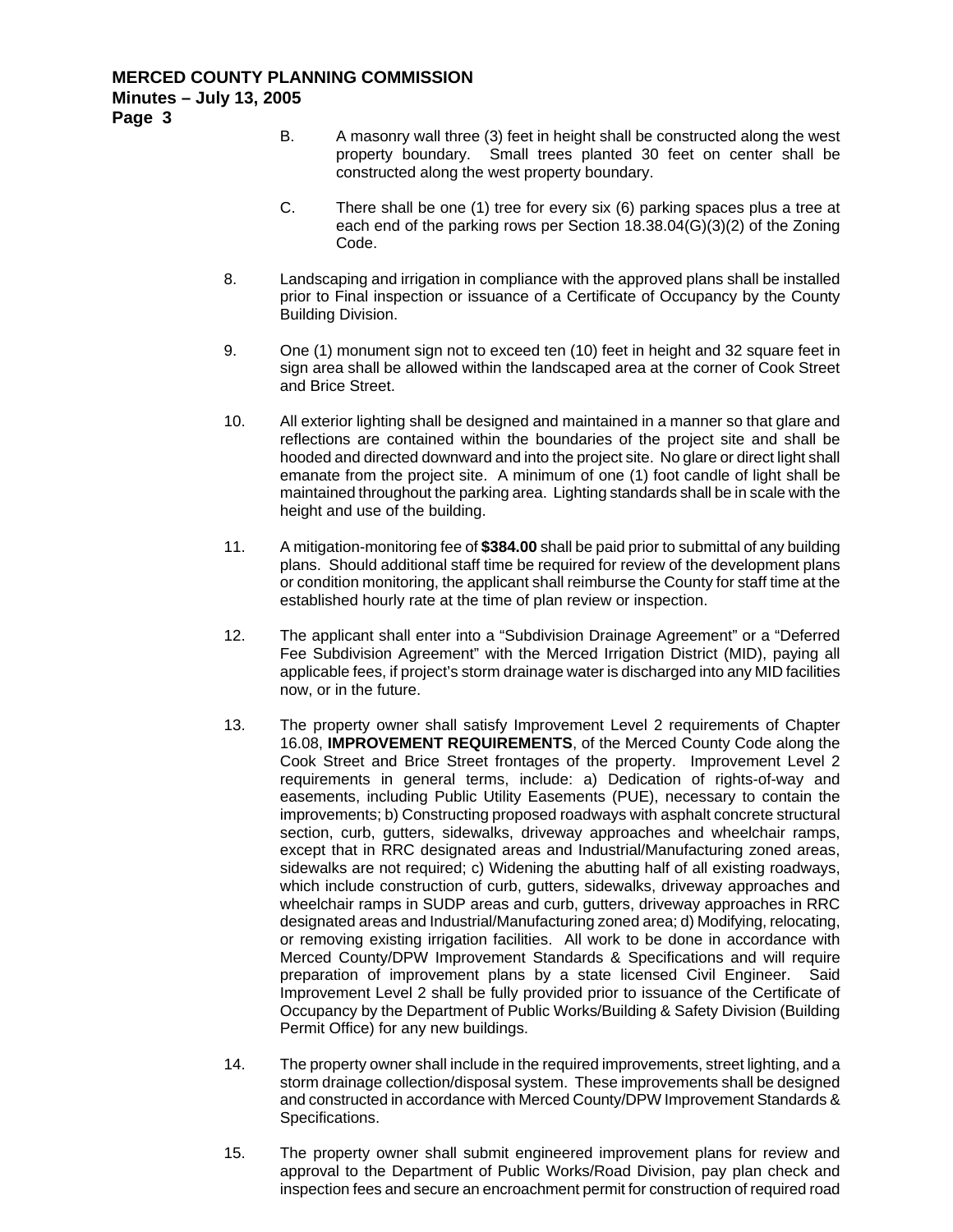- B. A masonry wall three (3) feet in height shall be constructed along the west property boundary. Small trees planted 30 feet on center shall be constructed along the west property boundary.
- C. There shall be one (1) tree for every six (6) parking spaces plus a tree at each end of the parking rows per Section 18.38.04(G)(3)(2) of the Zoning Code.
- 8. Landscaping and irrigation in compliance with the approved plans shall be installed prior to Final inspection or issuance of a Certificate of Occupancy by the County Building Division.
- 9. One (1) monument sign not to exceed ten (10) feet in height and 32 square feet in sign area shall be allowed within the landscaped area at the corner of Cook Street and Brice Street.
- 10. All exterior lighting shall be designed and maintained in a manner so that glare and reflections are contained within the boundaries of the project site and shall be hooded and directed downward and into the project site. No glare or direct light shall emanate from the project site. A minimum of one (1) foot candle of light shall be maintained throughout the parking area. Lighting standards shall be in scale with the height and use of the building.
- 11. A mitigation-monitoring fee of **\$384.00** shall be paid prior to submittal of any building plans. Should additional staff time be required for review of the development plans or condition monitoring, the applicant shall reimburse the County for staff time at the established hourly rate at the time of plan review or inspection.
- 12. The applicant shall enter into a "Subdivision Drainage Agreement" or a "Deferred Fee Subdivision Agreement" with the Merced Irrigation District (MID), paying all applicable fees, if project's storm drainage water is discharged into any MID facilities now, or in the future.
- 13. The property owner shall satisfy Improvement Level 2 requirements of Chapter 16.08, **IMPROVEMENT REQUIREMENTS**, of the Merced County Code along the Cook Street and Brice Street frontages of the property. Improvement Level 2 requirements in general terms, include: a) Dedication of rights-of-way and easements, including Public Utility Easements (PUE), necessary to contain the improvements; b) Constructing proposed roadways with asphalt concrete structural section, curb, gutters, sidewalks, driveway approaches and wheelchair ramps, except that in RRC designated areas and Industrial/Manufacturing zoned areas, sidewalks are not required; c) Widening the abutting half of all existing roadways, which include construction of curb, gutters, sidewalks, driveway approaches and wheelchair ramps in SUDP areas and curb, gutters, driveway approaches in RRC designated areas and Industrial/Manufacturing zoned area; d) Modifying, relocating, or removing existing irrigation facilities. All work to be done in accordance with Merced County/DPW Improvement Standards & Specifications and will require preparation of improvement plans by a state licensed Civil Engineer. Said Improvement Level 2 shall be fully provided prior to issuance of the Certificate of Occupancy by the Department of Public Works/Building & Safety Division (Building Permit Office) for any new buildings.
- 14. The property owner shall include in the required improvements, street lighting, and a storm drainage collection/disposal system. These improvements shall be designed and constructed in accordance with Merced County/DPW Improvement Standards & Specifications.
- 15. The property owner shall submit engineered improvement plans for review and approval to the Department of Public Works/Road Division, pay plan check and inspection fees and secure an encroachment permit for construction of required road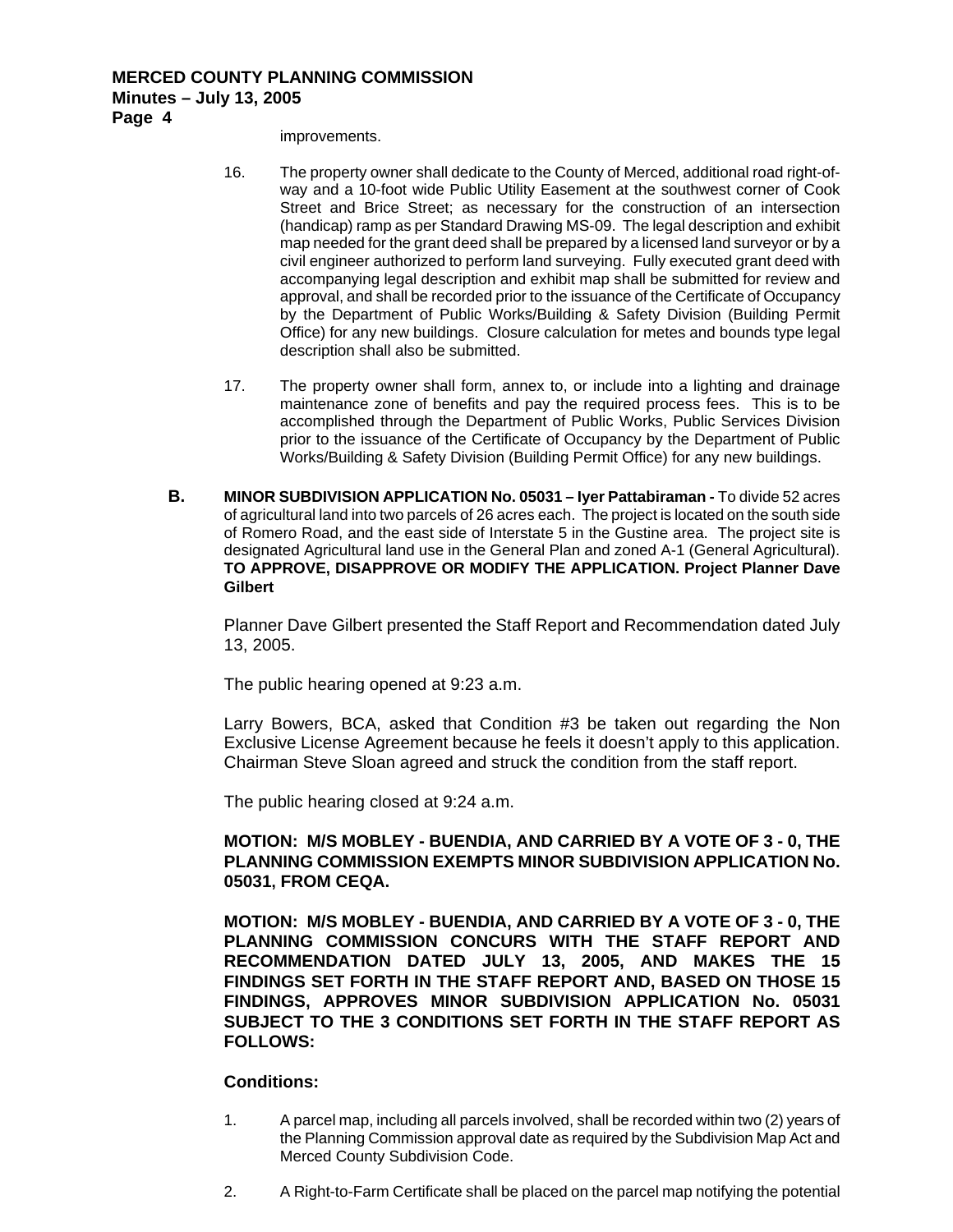# **MERCED COUNTY PLANNING COMMISSION Minutes – July 13, 2005**

**Page 4** 

improvements.

- 16. The property owner shall dedicate to the County of Merced, additional road right-ofway and a 10-foot wide Public Utility Easement at the southwest corner of Cook Street and Brice Street; as necessary for the construction of an intersection (handicap) ramp as per Standard Drawing MS-09. The legal description and exhibit map needed for the grant deed shall be prepared by a licensed land surveyor or by a civil engineer authorized to perform land surveying. Fully executed grant deed with accompanying legal description and exhibit map shall be submitted for review and approval, and shall be recorded prior to the issuance of the Certificate of Occupancy by the Department of Public Works/Building & Safety Division (Building Permit Office) for any new buildings. Closure calculation for metes and bounds type legal description shall also be submitted.
- 17. The property owner shall form, annex to, or include into a lighting and drainage maintenance zone of benefits and pay the required process fees. This is to be accomplished through the Department of Public Works, Public Services Division prior to the issuance of the Certificate of Occupancy by the Department of Public Works/Building & Safety Division (Building Permit Office) for any new buildings.
- **B. MINOR SUBDIVISION APPLICATION No. 05031 Iyer Pattabiraman** To divide 52 acres of agricultural land into two parcels of 26 acres each. The project is located on the south side of Romero Road, and the east side of Interstate 5 in the Gustine area. The project site is designated Agricultural land use in the General Plan and zoned A-1 (General Agricultural). **TO APPROVE, DISAPPROVE OR MODIFY THE APPLICATION. Project Planner Dave Gilbert**

Planner Dave Gilbert presented the Staff Report and Recommendation dated July 13, 2005.

The public hearing opened at 9:23 a.m.

Larry Bowers, BCA, asked that Condition #3 be taken out regarding the Non Exclusive License Agreement because he feels it doesn't apply to this application. Chairman Steve Sloan agreed and struck the condition from the staff report.

The public hearing closed at 9:24 a.m.

## **MOTION: M/S MOBLEY - BUENDIA, AND CARRIED BY A VOTE OF 3 - 0, THE PLANNING COMMISSION EXEMPTS MINOR SUBDIVISION APPLICATION No. 05031, FROM CEQA.**

**MOTION: M/S MOBLEY - BUENDIA, AND CARRIED BY A VOTE OF 3 - 0, THE PLANNING COMMISSION CONCURS WITH THE STAFF REPORT AND RECOMMENDATION DATED JULY 13, 2005, AND MAKES THE 15 FINDINGS SET FORTH IN THE STAFF REPORT AND, BASED ON THOSE 15 FINDINGS, APPROVES MINOR SUBDIVISION APPLICATION No. 05031 SUBJECT TO THE 3 CONDITIONS SET FORTH IN THE STAFF REPORT AS FOLLOWS:** 

## **Conditions:**

- 1. A parcel map, including all parcels involved, shall be recorded within two (2) years of the Planning Commission approval date as required by the Subdivision Map Act and Merced County Subdivision Code.
- 2. A Right-to-Farm Certificate shall be placed on the parcel map notifying the potential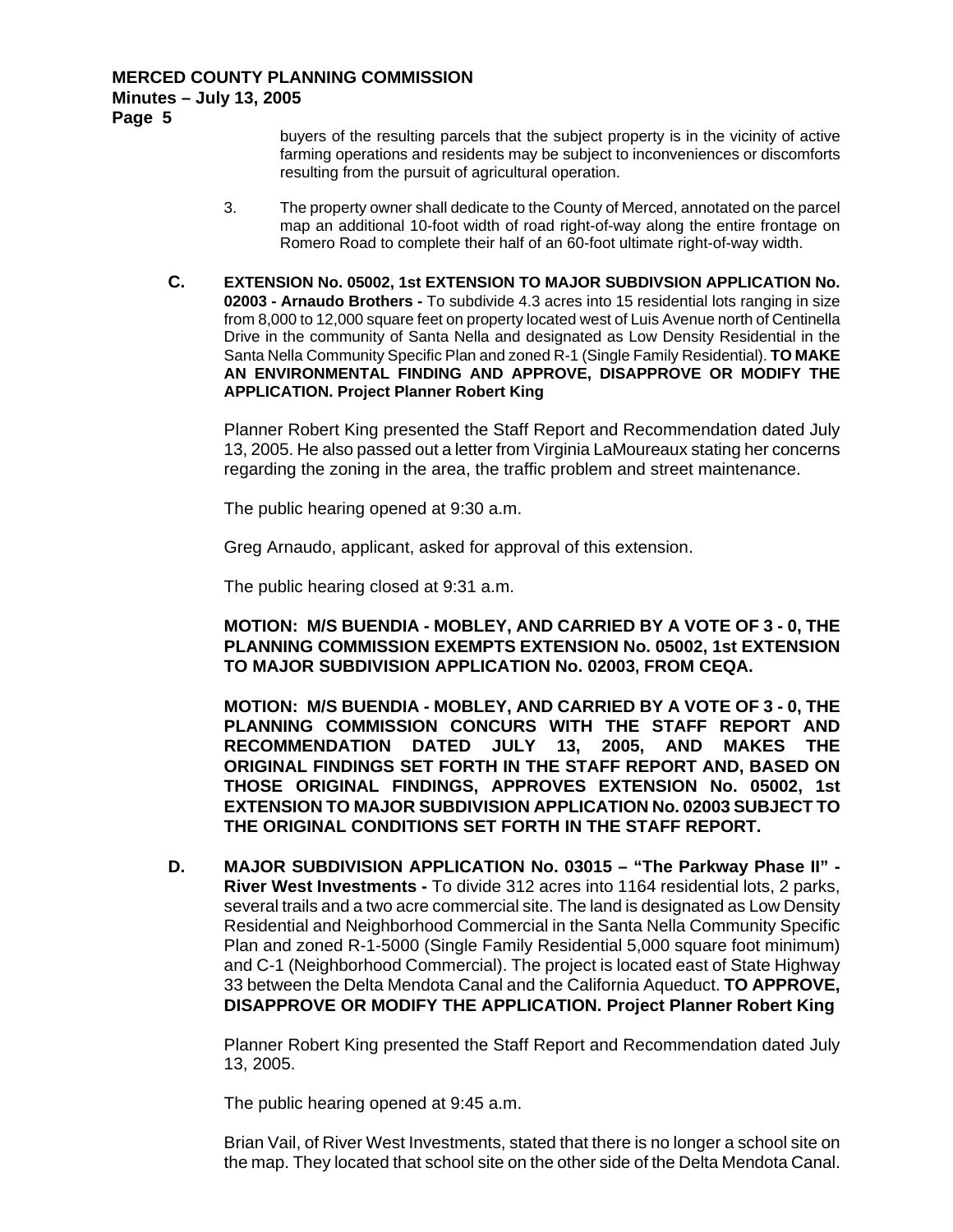buyers of the resulting parcels that the subject property is in the vicinity of active farming operations and residents may be subject to inconveniences or discomforts resulting from the pursuit of agricultural operation.

- 3. The property owner shall dedicate to the County of Merced, annotated on the parcel map an additional 10-foot width of road right-of-way along the entire frontage on Romero Road to complete their half of an 60-foot ultimate right-of-way width.
- **C. EXTENSION No. 05002, 1st EXTENSION TO MAJOR SUBDIVSION APPLICATION No. 02003 - Arnaudo Brothers -** To subdivide 4.3 acres into 15 residential lots ranging in size from 8,000 to 12,000 square feet on property located west of Luis Avenue north of Centinella Drive in the community of Santa Nella and designated as Low Density Residential in the Santa Nella Community Specific Plan and zoned R-1 (Single Family Residential). **TO MAKE AN ENVIRONMENTAL FINDING AND APPROVE, DISAPPROVE OR MODIFY THE APPLICATION. Project Planner Robert King**

Planner Robert King presented the Staff Report and Recommendation dated July 13, 2005. He also passed out a letter from Virginia LaMoureaux stating her concerns regarding the zoning in the area, the traffic problem and street maintenance.

The public hearing opened at 9:30 a.m.

Greg Arnaudo, applicant, asked for approval of this extension.

The public hearing closed at 9:31 a.m.

**MOTION: M/S BUENDIA - MOBLEY, AND CARRIED BY A VOTE OF 3 - 0, THE PLANNING COMMISSION EXEMPTS EXTENSION No. 05002, 1st EXTENSION TO MAJOR SUBDIVISION APPLICATION No. 02003, FROM CEQA.** 

**MOTION: M/S BUENDIA - MOBLEY, AND CARRIED BY A VOTE OF 3 - 0, THE PLANNING COMMISSION CONCURS WITH THE STAFF REPORT AND RECOMMENDATION DATED JULY 13, 2005, AND MAKES THE ORIGINAL FINDINGS SET FORTH IN THE STAFF REPORT AND, BASED ON THOSE ORIGINAL FINDINGS, APPROVES EXTENSION No. 05002, 1st EXTENSION TO MAJOR SUBDIVISION APPLICATION No. 02003 SUBJECT TO THE ORIGINAL CONDITIONS SET FORTH IN THE STAFF REPORT.** 

**D. MAJOR SUBDIVISION APPLICATION No. 03015 – "The Parkway Phase II" - River West Investments -** To divide 312 acres into 1164 residential lots, 2 parks, several trails and a two acre commercial site. The land is designated as Low Density Residential and Neighborhood Commercial in the Santa Nella Community Specific Plan and zoned R-1-5000 (Single Family Residential 5,000 square foot minimum) and C-1 (Neighborhood Commercial). The project is located east of State Highway 33 between the Delta Mendota Canal and the California Aqueduct. **TO APPROVE, DISAPPROVE OR MODIFY THE APPLICATION. Project Planner Robert King** 

Planner Robert King presented the Staff Report and Recommendation dated July 13, 2005.

The public hearing opened at 9:45 a.m.

Brian Vail, of River West Investments, stated that there is no longer a school site on the map. They located that school site on the other side of the Delta Mendota Canal.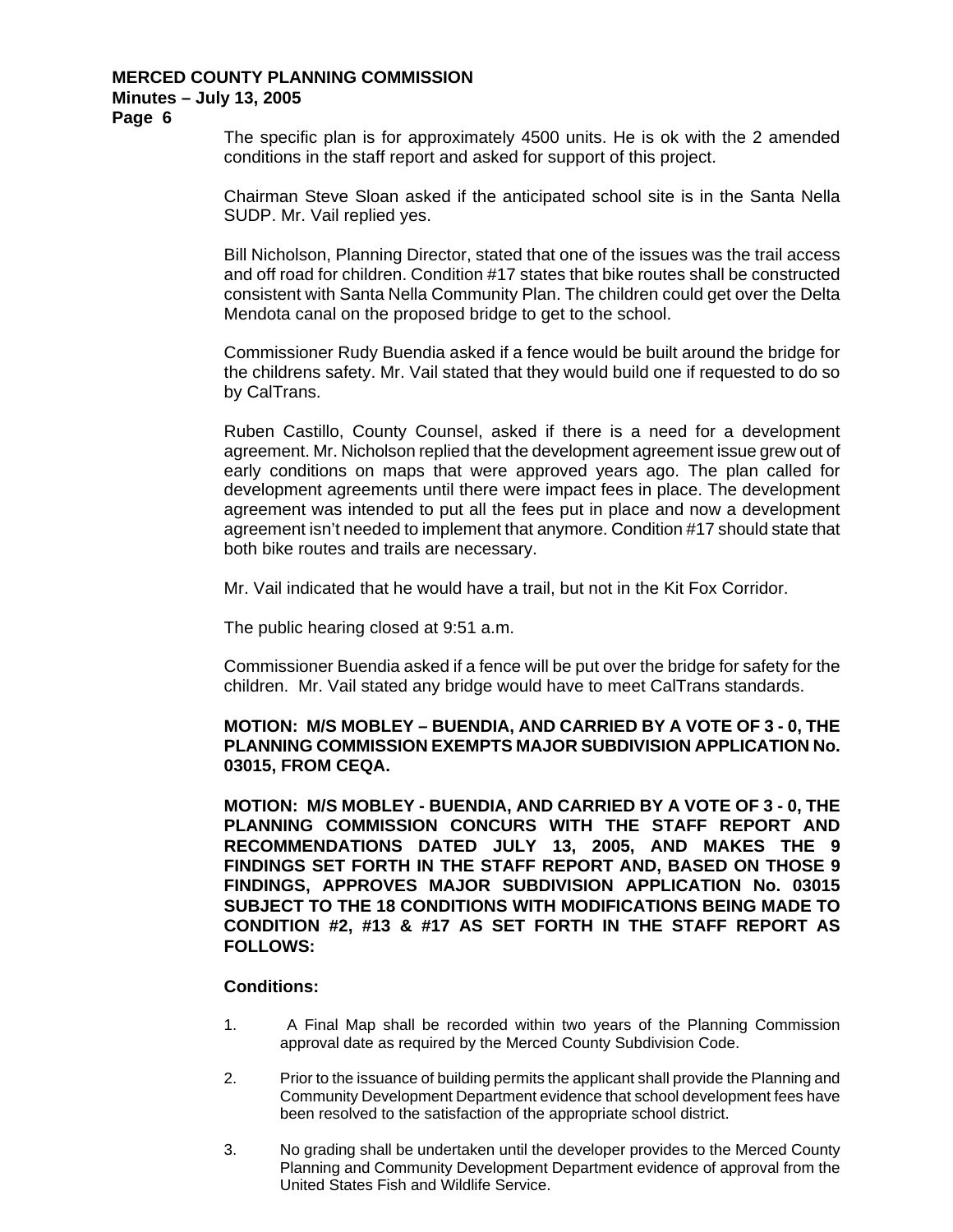#### **MERCED COUNTY PLANNING COMMISSION Minutes – July 13, 2005**

**Page 6** 

The specific plan is for approximately 4500 units. He is ok with the 2 amended conditions in the staff report and asked for support of this project.

Chairman Steve Sloan asked if the anticipated school site is in the Santa Nella SUDP. Mr. Vail replied yes.

Bill Nicholson, Planning Director, stated that one of the issues was the trail access and off road for children. Condition #17 states that bike routes shall be constructed consistent with Santa Nella Community Plan. The children could get over the Delta Mendota canal on the proposed bridge to get to the school.

Commissioner Rudy Buendia asked if a fence would be built around the bridge for the childrens safety. Mr. Vail stated that they would build one if requested to do so by CalTrans.

Ruben Castillo, County Counsel, asked if there is a need for a development agreement. Mr. Nicholson replied that the development agreement issue grew out of early conditions on maps that were approved years ago. The plan called for development agreements until there were impact fees in place. The development agreement was intended to put all the fees put in place and now a development agreement isn't needed to implement that anymore. Condition #17 should state that both bike routes and trails are necessary.

Mr. Vail indicated that he would have a trail, but not in the Kit Fox Corridor.

The public hearing closed at 9:51 a.m.

Commissioner Buendia asked if a fence will be put over the bridge for safety for the children. Mr. Vail stated any bridge would have to meet CalTrans standards.

## **MOTION: M/S MOBLEY – BUENDIA, AND CARRIED BY A VOTE OF 3 - 0, THE PLANNING COMMISSION EXEMPTS MAJOR SUBDIVISION APPLICATION No. 03015, FROM CEQA.**

**MOTION: M/S MOBLEY - BUENDIA, AND CARRIED BY A VOTE OF 3 - 0, THE PLANNING COMMISSION CONCURS WITH THE STAFF REPORT AND RECOMMENDATIONS DATED JULY 13, 2005, AND MAKES THE 9 FINDINGS SET FORTH IN THE STAFF REPORT AND, BASED ON THOSE 9 FINDINGS, APPROVES MAJOR SUBDIVISION APPLICATION No. 03015 SUBJECT TO THE 18 CONDITIONS WITH MODIFICATIONS BEING MADE TO CONDITION #2, #13 & #17 AS SET FORTH IN THE STAFF REPORT AS FOLLOWS:** 

#### **Conditions:**

- 1. A Final Map shall be recorded within two years of the Planning Commission approval date as required by the Merced County Subdivision Code.
- 2. Prior to the issuance of building permits the applicant shall provide the Planning and Community Development Department evidence that school development fees have been resolved to the satisfaction of the appropriate school district.
- 3. No grading shall be undertaken until the developer provides to the Merced County Planning and Community Development Department evidence of approval from the United States Fish and Wildlife Service.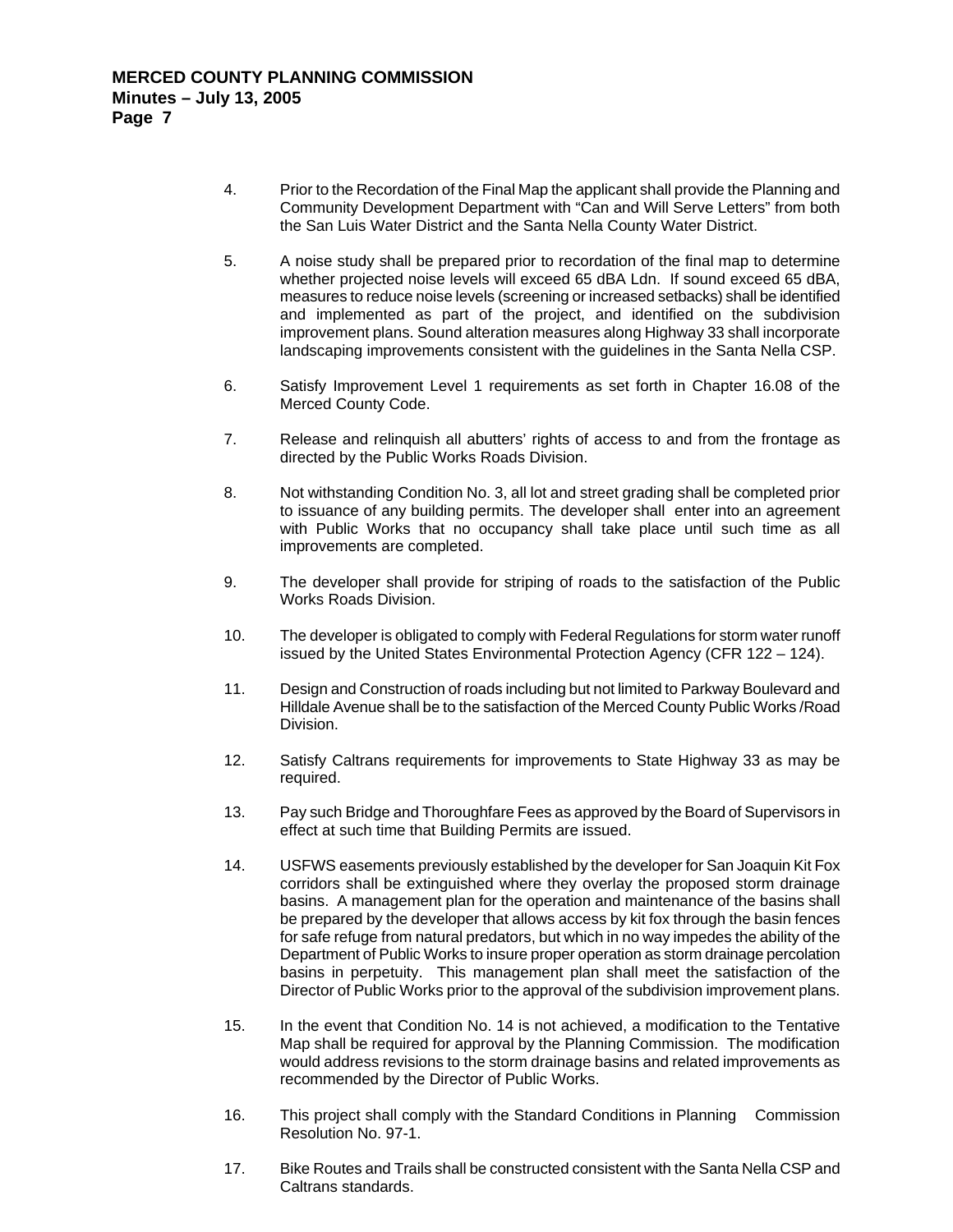- 4. Prior to the Recordation of the Final Map the applicant shall provide the Planning and Community Development Department with "Can and Will Serve Letters" from both the San Luis Water District and the Santa Nella County Water District.
- 5. A noise study shall be prepared prior to recordation of the final map to determine whether projected noise levels will exceed 65 dBA Ldn. If sound exceed 65 dBA, measures to reduce noise levels (screening or increased setbacks) shall be identified and implemented as part of the project, and identified on the subdivision improvement plans. Sound alteration measures along Highway 33 shall incorporate landscaping improvements consistent with the guidelines in the Santa Nella CSP.
- 6. Satisfy Improvement Level 1 requirements as set forth in Chapter 16.08 of the Merced County Code.
- 7. Release and relinquish all abutters' rights of access to and from the frontage as directed by the Public Works Roads Division.
- 8. Not withstanding Condition No. 3, all lot and street grading shall be completed prior to issuance of any building permits. The developer shall enter into an agreement with Public Works that no occupancy shall take place until such time as all improvements are completed.
- 9. The developer shall provide for striping of roads to the satisfaction of the Public Works Roads Division.
- 10. The developer is obligated to comply with Federal Regulations for storm water runoff issued by the United States Environmental Protection Agency (CFR 122 – 124).
- 11. Design and Construction of roads including but not limited to Parkway Boulevard and Hilldale Avenue shall be to the satisfaction of the Merced County Public Works /Road Division.
- 12. Satisfy Caltrans requirements for improvements to State Highway 33 as may be required.
- 13. Pay such Bridge and Thoroughfare Fees as approved by the Board of Supervisors in effect at such time that Building Permits are issued.
- 14. USFWS easements previously established by the developer for San Joaquin Kit Fox corridors shall be extinguished where they overlay the proposed storm drainage basins. A management plan for the operation and maintenance of the basins shall be prepared by the developer that allows access by kit fox through the basin fences for safe refuge from natural predators, but which in no way impedes the ability of the Department of Public Works to insure proper operation as storm drainage percolation basins in perpetuity. This management plan shall meet the satisfaction of the Director of Public Works prior to the approval of the subdivision improvement plans.
- 15. In the event that Condition No. 14 is not achieved, a modification to the Tentative Map shall be required for approval by the Planning Commission. The modification would address revisions to the storm drainage basins and related improvements as recommended by the Director of Public Works.
- 16. This project shall comply with the Standard Conditions in Planning Commission Resolution No. 97-1.
- 17. Bike Routes and Trails shall be constructed consistent with the Santa Nella CSP and Caltrans standards.